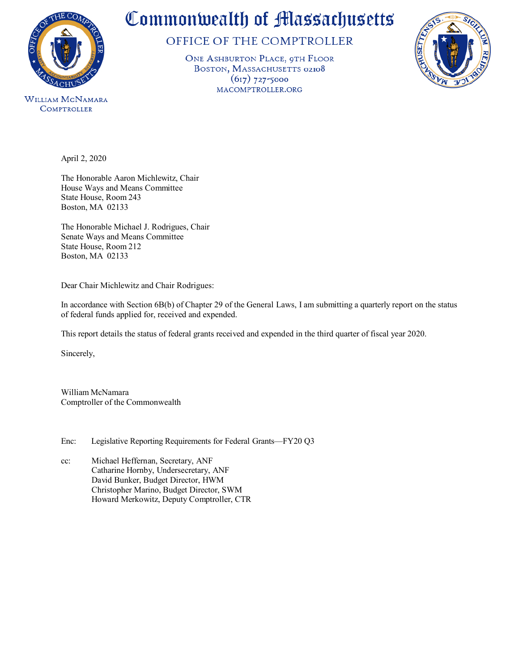

**COMPTROLLER** 

## Commonwealth of Massachusetts

OFFICE OF THE COMPTROLLER

ONE ASHBURTON PLACE, 9TH FLOOR BOSTON, MASSACHUSETTS 02108  $(617)$  727-5000 MACOMPTROLLER.ORG



April 2, 2020

The Honorable Aaron Michlewitz, Chair House Ways and Means Committee State House, Room 243 Boston, MA 02133

The Honorable Michael J. Rodrigues, Chair Senate Ways and Means Committee State House, Room 212 Boston, MA 02133

Dear Chair Michlewitz and Chair Rodrigues:

In accordance with Section 6B(b) of Chapter 29 of the General Laws, I am submitting a quarterly report on the status of federal funds applied for, received and expended.

This report details the status of federal grants received and expended in the third quarter of fiscal year 2020.

Sincerely,

William McNamara Comptroller of the Commonwealth

Enc: Legislative Reporting Requirements for Federal Grants—FY20 Q3

cc: Michael Heffernan, Secretary, ANF Catharine Hornby, Undersecretary, ANF David Bunker, Budget Director, HWM Christopher Marino, Budget Director, SWM Howard Merkowitz, Deputy Comptroller, CTR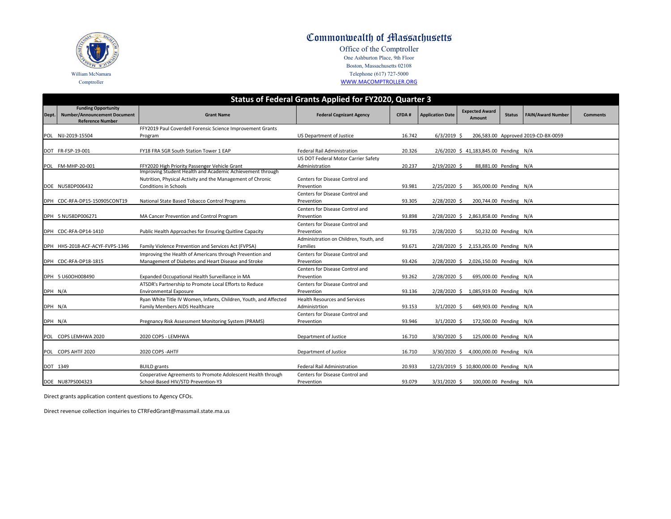| <b>Status of Federal Grants Applied for FY2020, Quarter 3</b> |                                                                                              |                                                                                                                                                  |                                                       |              |                         |                                         |               |                                     |                 |  |  |
|---------------------------------------------------------------|----------------------------------------------------------------------------------------------|--------------------------------------------------------------------------------------------------------------------------------------------------|-------------------------------------------------------|--------------|-------------------------|-----------------------------------------|---------------|-------------------------------------|-----------------|--|--|
| Dept.                                                         | <b>Funding Opportunity</b><br><b>Number/Announcement Document</b><br><b>Reference Number</b> | <b>Grant Name</b>                                                                                                                                | <b>Federal Cognizant Agency</b>                       | <b>CFDA#</b> | <b>Application Date</b> | <b>Expected Award</b><br>Amount         | <b>Status</b> | <b>FAIN/Award Number</b>            | <b>Comments</b> |  |  |
|                                                               |                                                                                              | FFY2019 Paul Coverdell Forensic Science Improvement Grants                                                                                       |                                                       |              |                         |                                         |               |                                     |                 |  |  |
|                                                               | POL NIJ-2019-15504                                                                           | Program                                                                                                                                          | <b>US Department of Justice</b>                       | 16.742       | $6/3/2019$ \$           |                                         |               | 206,583.00 Approved 2019-CD-BX-0059 |                 |  |  |
|                                                               | DOT FR-FSP-19-001                                                                            | FY18 FRA SGR South Station Tower 1 EAP                                                                                                           | <b>Federal Rail Administration</b>                    | 20.326       |                         | 2/6/2020 \$ 41,183,845.00 Pending N/A   |               |                                     |                 |  |  |
|                                                               | POL FM-MHP-20-001                                                                            | FFY2020 High Priority Passenger Vehicle Grant                                                                                                    | US DOT Federal Motor Carrier Safety<br>Administration | 20.237       | 2/19/2020 \$            | 88,881.00 Pending N/A                   |               |                                     |                 |  |  |
|                                                               | DOE NU58DP006432                                                                             | Improving Student Health and Academic Achievement through<br>Nutrition, Physical Activity and the Management of Chronic<br>Conditions in Schools | Centers for Disease Control and<br>Prevention         | 93.981       | 2/25/2020 \$            | 365,000.00 Pending N/A                  |               |                                     |                 |  |  |
|                                                               |                                                                                              |                                                                                                                                                  | Centers for Disease Control and                       |              |                         |                                         |               |                                     |                 |  |  |
|                                                               | DPH CDC-RFA-DP15-150905CONT19                                                                | National State Based Tobacco Control Programs                                                                                                    | Prevention                                            | 93.305       | 2/28/2020 \$            | 200,744.00 Pending N/A                  |               |                                     |                 |  |  |
|                                                               | DPH 5 NU58DP006271                                                                           | MA Cancer Prevention and Control Program                                                                                                         | Centers for Disease Control and<br>Prevention         | 93.898       | 2/28/2020 \$            | 2,863,858.00 Pending N/A                |               |                                     |                 |  |  |
|                                                               | DPH CDC-RFA-DP14-1410                                                                        | Public Health Approaches for Ensuring Quitline Capacity                                                                                          | Centers for Disease Control and<br>Prevention         | 93.735       | 2/28/2020 \$            | 50,232.00 Pending N/A                   |               |                                     |                 |  |  |
|                                                               | DPH HHS-2018-ACF-ACYF-FVPS-1346                                                              | Family Violence Prevention and Services Act (FVPSA)                                                                                              | Administration on Children, Youth, and<br>Families    | 93.671       |                         | 2/28/2020 \$ 2,153,265.00 Pending N/A   |               |                                     |                 |  |  |
|                                                               | DPH CDC-RFA-DP18-1815                                                                        | Improving the Health of Americans through Prevention and<br>Management of Diabetes and Heart Disease and Stroke                                  | Centers for Disease Control and<br>Prevention         | 93.426       |                         | 2/28/2020 \$ 2,026,150.00 Pending N/A   |               |                                     |                 |  |  |
|                                                               | DPH 5 U60OH008490                                                                            | Expanded Occupational Health Surveillance in MA                                                                                                  | Centers for Disease Control and<br>Prevention         | 93.262       | 2/28/2020 \$            | 695,000.00 Pending N/A                  |               |                                     |                 |  |  |
| DPH N/A                                                       |                                                                                              | ATSDR's Partnership to Promote Local Efforts to Reduce<br><b>Environmental Exposure</b>                                                          | Centers for Disease Control and<br>Prevention         | 93.136       |                         | 2/28/2020 \$ 1,085,919.00 Pending N/A   |               |                                     |                 |  |  |
| DPH N/A                                                       |                                                                                              | Ryan White Title IV Women, Infants, Children, Youth, and Affected<br>Family Members AIDS Healthcare                                              | <b>Health Resources and Services</b><br>Administrtion | 93.153       | $3/1/2020$ \$           | 649,903.00 Pending N/A                  |               |                                     |                 |  |  |
| DPH N/A                                                       |                                                                                              | Pregnancy Risk Assessment Monitoring System (PRAMS)                                                                                              | Centers for Disease Control and<br>Prevention         | 93.946       | $3/1/2020$ \$           | 172,500.00 Pending N/A                  |               |                                     |                 |  |  |
|                                                               | POL COPS LEMHWA 2020                                                                         | 2020 COPS - LEMHWA                                                                                                                               | Department of Justice                                 | 16.710       | 3/30/2020 \$            | 125,000.00 Pending N/A                  |               |                                     |                 |  |  |
|                                                               | POL COPS AHTF 2020                                                                           | 2020 COPS - AHTF                                                                                                                                 | Department of Justice                                 | 16.710       | 3/30/2020 \$            | 4,000,000.00 Pending N/A                |               |                                     |                 |  |  |
|                                                               | DOT 1349                                                                                     | <b>BUILD</b> grants                                                                                                                              | Federal Rail Administration                           | 20.933       |                         | 12/23/2019 \$ 10,800,000.00 Pending N/A |               |                                     |                 |  |  |
|                                                               | DOE NU87PS004323                                                                             | Cooperative Agreements to Promote Adolescent Health through<br>School-Based HIV/STD Prevention-Y3                                                | Centers for Disease Control and<br>Prevention         | 93.079       | $3/31/2020$ \$          | 100,000.00 Pending N/A                  |               |                                     |                 |  |  |

Direct grants application content questions to Agency CFOs.

Direct revenue collection inquiries to CTRFedGrant@massmail.state.ma.us



## Commonwealth of Massachusetts

Office of the Comptroller One Ashburton Place, 9th Floor Boston, Massachusetts 02108 Telephone (617) 727-5000 [W](http://www.macomptroller.org/)WW.MACOMPTROLLER.ORG